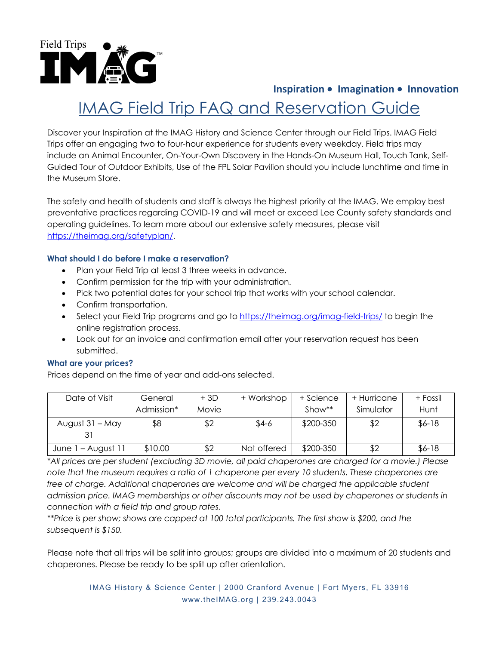

## **Inspiration** • **Imagination** • **Innovation**

# IMAG Field Trip FAQ and Reservation Guide

Discover your Inspiration at the IMAG History and Science Center through our Field Trips. IMAG Field Trips offer an engaging two to four-hour experience for students every weekday. Field trips may include an Animal Encounter, On-Your-Own Discovery in the Hands-On Museum Hall, Touch Tank, Self-Guided Tour of Outdoor Exhibits, Use of the FPL Solar Pavilion should you include lunchtime and time in the Museum Store.

The safety and health of students and staff is always the highest priority at the IMAG. We employ best preventative practices regarding COVID-19 and will meet or exceed Lee County safety standards and operating guidelines. To learn more about our extensive safety measures, please visit https://theimag.org/safetyplan/.

#### **What should I do before I make a reservation?**

- Plan your Field Trip at least 3 three weeks in advance.
- Confirm permission for the trip with your administration.
- Pick two potential dates for your school trip that works with your school calendar.
- Confirm transportation.
- Select your Field Trip programs and go to https://theimag.org/imag-field-trips/ to begin the online registration process.
- Look out for an invoice and confirmation email after your reservation request has been submitted.

#### **What are your prices?**

Prices depend on the time of year and add-ons selected.

| Date of Visit      | General    | $+3D$ | + Workshop  | + Science | + Hurricane | + Fossil |
|--------------------|------------|-------|-------------|-----------|-------------|----------|
|                    | Admission* | Movie |             | $Show**$  | Simulator   | Hunt     |
| August 31 – May    | \$8        | \$2   | $$4-6$      | \$200-350 | \$2         | $$6-18$  |
| June 1 - August 11 | \$10.00    | \$2   | Not offered | \$200-350 | \$2         | $$6-18$  |

*\*All prices are per student (excluding 3D movie, all paid chaperones are charged for a movie.) Please note that the museum requires a ratio of 1 chaperone per every 10 students. These chaperones are*  free of charge. Additional chaperones are welcome and will be charged the applicable student *admission price. IMAG memberships or other discounts may not be used by chaperones or students in connection with a field trip and group rates.* 

*\*\*Price is per show; shows are capped at 100 total participants. The first show is \$200, and the subsequent is \$150.*

Please note that all trips will be split into groups; groups are divided into a maximum of 20 students and chaperones. Please be ready to be split up after orientation.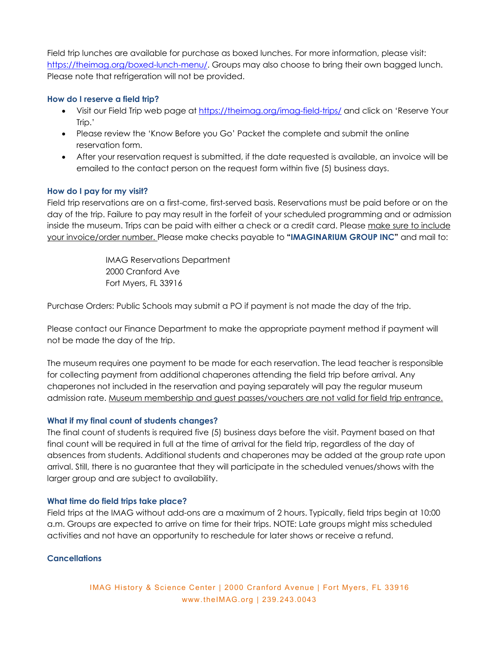Field trip lunches are available for purchase as boxed lunches. For more information, please visit: https://theimag.org/boxed-lunch-menu/. Groups may also choose to bring their own bagged lunch. Please note that refrigeration will not be provided.

### **How do I reserve a field trip?**

- Visit our Field Trip web page at https://theimag.org/imag-field-trips/ and click on 'Reserve Your Trip.'
- Please review the 'Know Before you Go' Packet the complete and submit the online reservation form.
- After your reservation request is submitted, if the date requested is available, an invoice will be emailed to the contact person on the request form within five (5) business days.

### **How do I pay for my visit?**

Field trip reservations are on a first-come, first-served basis. Reservations must be paid before or on the day of the trip. Failure to pay may result in the forfeit of your scheduled programming and or admission inside the museum. Trips can be paid with either a check or a credit card. Please make sure to include your invoice/order number. Please make checks payable to **"IMAGINARIUM GROUP INC"** and mail to:

> IMAG Reservations Department 2000 Cranford Ave Fort Myers, FL 33916

Purchase Orders: Public Schools may submit a PO if payment is not made the day of the trip.

Please contact our Finance Department to make the appropriate payment method if payment will not be made the day of the trip.

The museum requires one payment to be made for each reservation. The lead teacher is responsible for collecting payment from additional chaperones attending the field trip before arrival. Any chaperones not included in the reservation and paying separately will pay the regular museum admission rate. Museum membership and guest passes/vouchers are not valid for field trip entrance.

#### **What if my final count of students changes?**

The final count of students is required five (5) business days before the visit. Payment based on that final count will be required in full at the time of arrival for the field trip, regardless of the day of absences from students. Additional students and chaperones may be added at the group rate upon arrival. Still, there is no guarantee that they will participate in the scheduled venues/shows with the larger group and are subject to availability.

#### **What time do field trips take place?**

Field trips at the IMAG without add-ons are a maximum of 2 hours. Typically, field trips begin at 10:00 a.m. Groups are expected to arrive on time for their trips. NOTE: Late groups might miss scheduled activities and not have an opportunity to reschedule for later shows or receive a refund.

## **Cancellations**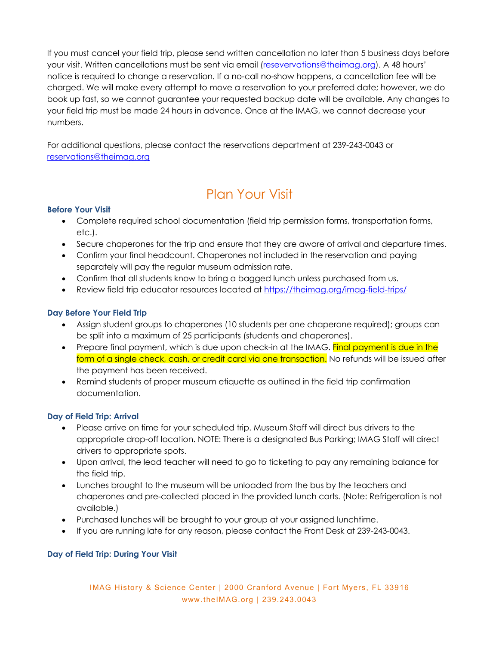If you must cancel your field trip, please send written cancellation no later than 5 business days before your visit. Written cancellations must be sent via email (resevervations@theimag.org). A 48 hours' notice is required to change a reservation. If a no-call no-show happens, a cancellation fee will be charged. We will make every attempt to move a reservation to your preferred date; however, we do book up fast, so we cannot guarantee your requested backup date will be available. Any changes to your field trip must be made 24 hours in advance. Once at the IMAG, we cannot decrease your numbers.

For additional questions, please contact the reservations department at 239-243-0043 or reservations@theimag.org

## Plan Your Visit

## **Before Your Visit**

- Complete required school documentation (field trip permission forms, transportation forms, etc.).
- Secure chaperones for the trip and ensure that they are aware of arrival and departure times.
- Confirm your final headcount. Chaperones not included in the reservation and paying separately will pay the regular museum admission rate.
- Confirm that all students know to bring a bagged lunch unless purchased from us.
- Review field trip educator resources located at https://theimag.org/imag-field-trips/

### **Day Before Your Field Trip**

- Assign student groups to chaperones (10 students per one chaperone required); groups can be split into a maximum of 25 participants (students and chaperones).
- Prepare final payment, which is due upon check-in at the IMAG. Final payment is due in the form of a single check, cash, or credit card via one transaction. No refunds will be issued after the payment has been received.
- Remind students of proper museum etiquette as outlined in the field trip confirmation documentation.

#### **Day of Field Trip: Arrival**

- Please arrive on time for your scheduled trip. Museum Staff will direct bus drivers to the appropriate drop-off location. NOTE: There is a designated Bus Parking; IMAG Staff will direct drivers to appropriate spots.
- Upon arrival, the lead teacher will need to go to ticketing to pay any remaining balance for the field trip.
- Lunches brought to the museum will be unloaded from the bus by the teachers and chaperones and pre-collected placed in the provided lunch carts. (Note: Refrigeration is not available.)
- Purchased lunches will be brought to your group at your assigned lunchtime.
- If you are running late for any reason, please contact the Front Desk at 239-243-0043.

## **Day of Field Trip: During Your Visit**